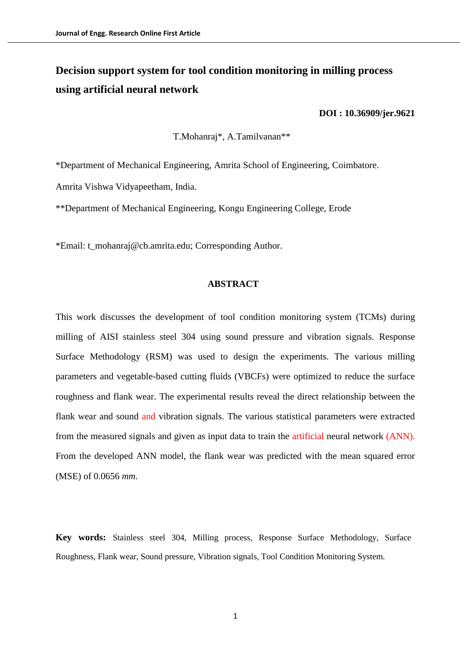# **Decision support system for tool condition monitoring in milling process using artificial neural network**

#### **[DOI : 10.36909/jer.9621](https://doi.org/10.36909/jer.9621)**

T.Mohanraj\*, A.Tamilvanan\*\*

\*Department of Mechanical Engineering, Amrita School of Engineering, Coimbatore.

Amrita Vishwa Vidyapeetham, India.

\*\*Department of Mechanical Engineering, Kongu Engineering College, Erode

\*Email: t\_mohanraj@cb.amrita.edu; Corresponding Author.

### **ABSTRACT**

This work discusses the development of tool condition monitoring system (TCMs) during milling of AISI stainless steel 304 using sound pressure and vibration signals. Response Surface Methodology (RSM) was used to design the experiments. The various milling parameters and vegetable-based cutting fluids (VBCFs) were optimized to reduce the surface roughness and flank wear. The experimental results reveal the direct relationship between the flank wear and sound and vibration signals. The various statistical parameters were extracted from the measured signals and given as input data to train the artificial neural network (ANN). From the developed ANN model, the flank wear was predicted with the mean squared error (MSE) of 0.0656 *mm*.

**Key words:** Stainless steel 304, Milling process, Response Surface Methodology, Surface Roughness, Flank wear, Sound pressure, Vibration signals, Tool Condition Monitoring System.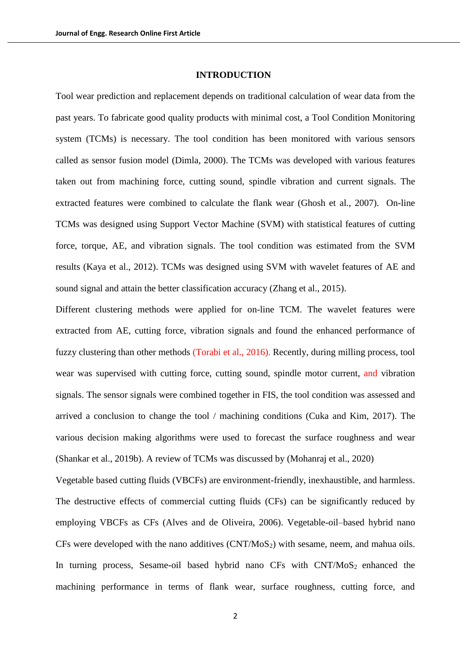#### **INTRODUCTION**

Tool wear prediction and replacement depends on traditional calculation of wear data from the past years. To fabricate good quality products with minimal cost, a Tool Condition Monitoring system (TCMs) is necessary. The tool condition has been monitored with various sensors called as sensor fusion model (Dimla, 2000). The TCMs was developed with various features taken out from machining force, cutting sound, spindle vibration and current signals. The extracted features were combined to calculate the flank wear (Ghosh et al., 2007). On-line TCMs was designed using Support Vector Machine (SVM) with statistical features of cutting force, torque, AE, and vibration signals. The tool condition was estimated from the SVM results (Kaya et al., 2012). TCMs was designed using SVM with wavelet features of AE and sound signal and attain the better classification accuracy (Zhang et al., 2015).

Different clustering methods were applied for on-line TCM. The wavelet features were extracted from AE, cutting force, vibration signals and found the enhanced performance of fuzzy clustering than other methods (Torabi et al., 2016). Recently, during milling process, tool wear was supervised with cutting force, cutting sound, spindle motor current, and vibration signals. The sensor signals were combined together in FIS, the tool condition was assessed and arrived a conclusion to change the tool / machining conditions (Cuka and Kim, 2017). The various decision making algorithms were used to forecast the surface roughness and wear (Shankar et al., 2019b). A review of TCMs was discussed by (Mohanraj et al., 2020)

Vegetable based cutting fluids (VBCFs) are environment-friendly, inexhaustible, and harmless. The destructive effects of commercial cutting fluids (CFs) can be significantly reduced by employing VBCFs as CFs (Alves and de Oliveira, 2006). Vegetable-oil–based hybrid nano CFs were developed with the nano additives  $(CNT/MoS<sub>2</sub>)$  with sesame, neem, and mahua oils. In turning process, Sesame-oil based hybrid nano CFs with  $CNT/M<sub>0</sub>S<sub>2</sub>$  enhanced the machining performance in terms of flank wear, surface roughness, cutting force, and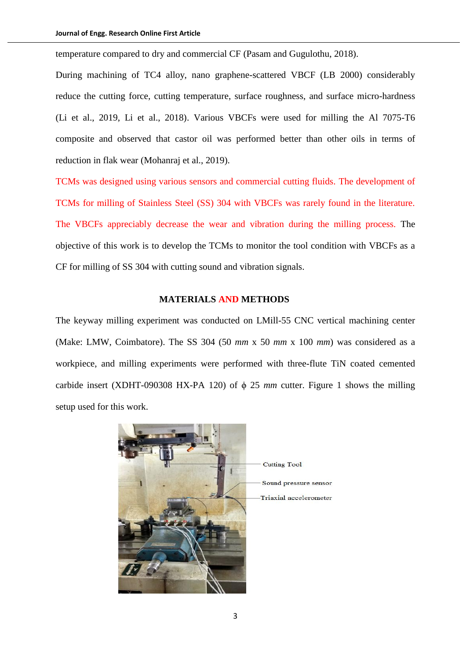temperature compared to dry and commercial CF (Pasam and Gugulothu, 2018).

During machining of TC4 alloy, nano [graphene-scattered](https://www.sciencedirect.com/science/article/pii/S0959652618335509) VBCF (LB 2000) considerably reduce the cutting force, cutting temperature, surface roughness, and surface micro-hardness (Li et al., 2019, Li et al., 2018). Various VBCFs were used for milling the Al 7075-T6 composite and observed that castor oil was performed better than other oils in terms of reduction in flak wear (Mohanraj et al., 2019).

TCMs was designed using various sensors and commercial cutting fluids. The development of TCMs for milling of Stainless Steel (SS) 304 with VBCFs was rarely found in the literature. The VBCFs appreciably decrease the wear and vibration during the milling process. The objective of this work is to develop the TCMs to monitor the tool condition with VBCFs as a CF for milling of SS 304 with cutting sound and vibration signals.

## **MATERIALS AND METHODS**

The keyway milling experiment was conducted on LMill-55 CNC vertical machining center (Make: LMW, Coimbatore). The SS 304 (50 *mm* x 50 *mm* x 100 *mm*) was considered as a workpiece, and milling experiments were performed with three-flute TiN coated cemented carbide insert (XDHT-090308 HX-PA 120) of  $\phi$  25 *mm* cutter. Figure 1 shows the milling setup used for this work.

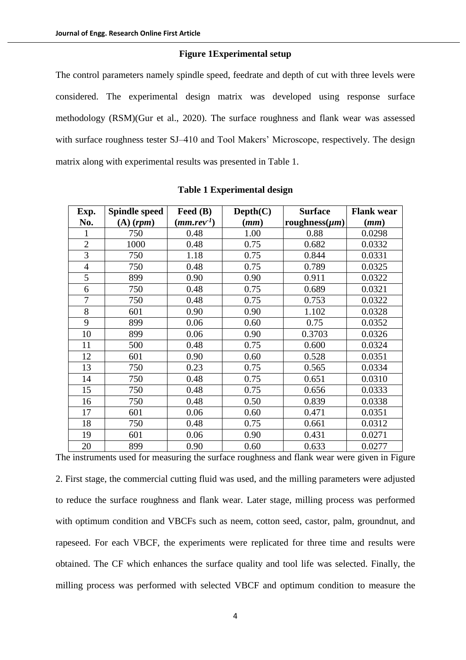# **Figure 1Experimental setup**

The control parameters namely spindle speed, feedrate and depth of cut with three levels were considered. The experimental design matrix was developed using response surface methodology (RSM)(Gur et al., 2020). The surface roughness and flank wear was assessed with surface roughness tester SJ-410 and Tool Makers' Microscope, respectively. The design matrix along with experimental results was presented in Table 1.

| Exp.           | <b>Spindle speed</b> | Feed (B)        | Depth(C) | <b>Surface</b>      | <b>Flank wear</b> |
|----------------|----------------------|-----------------|----------|---------------------|-------------------|
| No.            | $(A)$ (rpm)          | $(mm.rev^{-1})$ | (mm)     | roughness $(\mu m)$ | (mm)              |
|                | 750                  | 0.48            | 1.00     | 0.88                | 0.0298            |
| $\overline{2}$ | 1000                 | 0.48            | 0.75     | 0.682               | 0.0332            |
| $\overline{3}$ | 750                  | 1.18            | 0.75     | 0.844               | 0.0331            |
| $\overline{4}$ | 750                  | 0.48            | 0.75     | 0.789               | 0.0325            |
| 5              | 899                  | 0.90            | 0.90     | 0.911               | 0.0322            |
| 6              | 750                  | 0.48            | 0.75     | 0.689               | 0.0321            |
| 7              | 750                  | 0.48            | 0.75     | 0.753               | 0.0322            |
| 8              | 601                  | 0.90            | 0.90     | 1.102               | 0.0328            |
| 9              | 899                  | 0.06            | 0.60     | 0.75                | 0.0352            |
| 10             | 899                  | 0.06            | 0.90     | 0.3703              | 0.0326            |
| 11             | 500                  | 0.48            | 0.75     | 0.600               | 0.0324            |
| 12             | 601                  | 0.90            | 0.60     | 0.528               | 0.0351            |
| 13             | 750                  | 0.23            | 0.75     | 0.565               | 0.0334            |
| 14             | 750                  | 0.48            | 0.75     | 0.651               | 0.0310            |
| 15             | 750                  | 0.48            | 0.75     | 0.656               | 0.0333            |
| 16             | 750                  | 0.48            | 0.50     | 0.839               | 0.0338            |
| 17             | 601                  | 0.06            | 0.60     | 0.471               | 0.0351            |
| 18             | 750                  | 0.48            | 0.75     | 0.661               | 0.0312            |
| 19             | 601                  | 0.06            | 0.90     | 0.431               | 0.0271            |
| 20             | 899                  | 0.90            | 0.60     | 0.633               | 0.0277            |

#### **Table 1 Experimental design**

The instruments used for measuring the surface roughness and flank wear were given in Figure 2. First stage, the commercial cutting fluid was used, and the milling parameters were adjusted to reduce the surface roughness and flank wear. Later stage, milling process was performed with optimum condition and VBCFs such as neem, cotton seed, castor, palm, groundnut, and rapeseed. For each VBCF, the experiments were replicated for three time and results were obtained. The CF which enhances the surface quality and tool life was selected. Finally, the milling process was performed with selected VBCF and optimum condition to measure the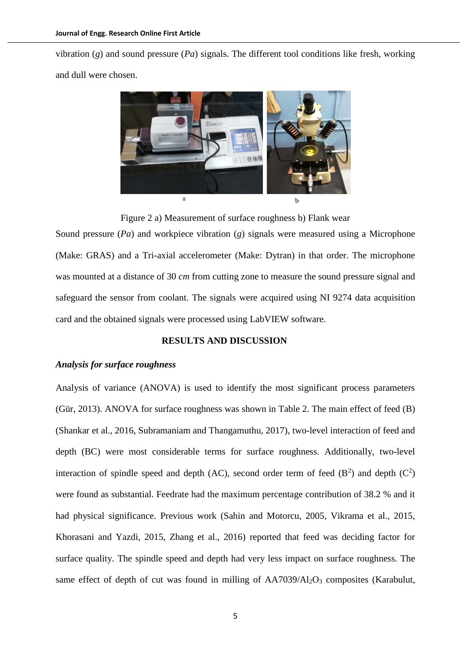vibration (*g*) and sound pressure (*Pa*) signals. The different tool conditions like fresh, working and dull were chosen.



Figure 2 a) Measurement of surface roughness b) Flank wear

Sound pressure (*Pa*) and workpiece vibration (*g*) signals were measured using a Microphone (Make: GRAS) and a Tri-axial accelerometer (Make: Dytran) in that order. The microphone was mounted at a distance of 30 *cm* from cutting zone to measure the sound pressure signal and safeguard the sensor from coolant. The signals were acquired using NI 9274 data acquisition card and the obtained signals were processed using LabVIEW software.

# **RESULTS AND DISCUSSION**

# *Analysis for surface roughness*

Analysis of variance (ANOVA) is used to identify the most significant process parameters (Gür, 2013). ANOVA for surface roughness was shown in Table 2. The main effect of feed (B) (Shankar et al., 2016, Subramaniam and Thangamuthu, 2017), two-level interaction of feed and depth (BC) were most considerable terms for surface roughness. Additionally, two-level interaction of spindle speed and depth (AC), second order term of feed  $(B^2)$  and depth  $(C^2)$ were found as substantial. Feedrate had the maximum percentage contribution of 38.2 % and it had physical significance. Previous work (Sahin and Motorcu, 2005, Vikrama et al., 2015, Khorasani and Yazdi, 2015, Zhang et al., 2016) reported that feed was deciding factor for surface quality. The spindle speed and depth had very less impact on surface roughness. The same effect of depth of cut was found in milling of  $AA7039/Al<sub>2</sub>O<sub>3</sub>$  composites (Karabulut,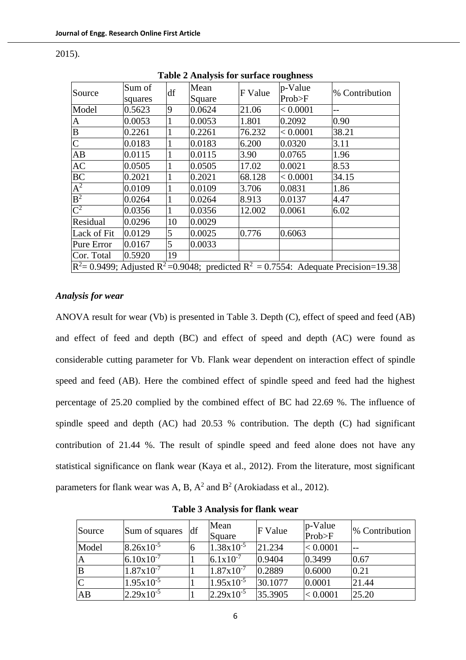| Table 2 Analysis for surface Foughness                                                                        |                   |    |                |         |                   |                |  |
|---------------------------------------------------------------------------------------------------------------|-------------------|----|----------------|---------|-------------------|----------------|--|
| Source                                                                                                        | Sum of<br>squares | df | Mean<br>Square | F Value | p-Value<br>Prob>F | % Contribution |  |
| Model                                                                                                         | 0.5623            | 9  | 0.0624         | 21.06   | < 0.0001          |                |  |
| $\mathbf{A}$                                                                                                  | 0.0053            |    | 0.0053         | 1.801   | 0.2092            | 0.90           |  |
| $\, {\bf B}$                                                                                                  | 0.2261            |    | 0.2261         | 76.232  | < 0.0001          | 38.21          |  |
| $\overline{C}$                                                                                                | 0.0183            |    | 0.0183         | 6.200   | 0.0320            | 3.11           |  |
| AB                                                                                                            | 0.0115            | 1  | 0.0115         | 3.90    | 0.0765            | 1.96           |  |
| AC                                                                                                            | 0.0505            |    | 0.0505         | 17.02   | 0.0021            | 8.53           |  |
| <b>BC</b>                                                                                                     | 0.2021            |    | 0.2021         | 68.128  | < 0.0001          | 34.15          |  |
| $A^2$                                                                                                         | 0.0109            | 1  | 0.0109         | 3.706   | 0.0831            | 1.86           |  |
| B <sup>2</sup>                                                                                                | 0.0264            |    | 0.0264         | 8.913   | 0.0137            | 4.47           |  |
| $\overline{C^2}$                                                                                              | 0.0356            |    | 0.0356         | 12.002  | 0.0061            | 6.02           |  |
| Residual                                                                                                      | 0.0296            | 10 | 0.0029         |         |                   |                |  |
| Lack of Fit                                                                                                   | 0.0129            | 5  | 0.0025         | 0.776   | 0.6063            |                |  |
| Pure Error                                                                                                    | 0.0167            | 5  | 0.0033         |         |                   |                |  |
| Cor. Total                                                                                                    | 0.5920            | 19 |                |         |                   |                |  |
| $R^2$ = 0.9499; Adjusted R <sup>2</sup> = 0.9048; predicted R <sup>2</sup> = 0.7554: Adequate Precision=19.38 |                   |    |                |         |                   |                |  |

2015).

**Table 2 Analysis for surface roughness**

# *Analysis for wear*

ANOVA result for wear (Vb) is presented in Table 3. Depth (C), effect of speed and feed (AB) and effect of feed and depth (BC) and effect of speed and depth (AC) were found as considerable cutting parameter for Vb. Flank wear dependent on interaction effect of spindle speed and feed (AB). Here the combined effect of spindle speed and feed had the highest percentage of 25.20 complied by the combined effect of BC had 22.69 %. The influence of spindle speed and depth (AC) had 20.53 % contribution. The depth (C) had significant contribution of 21.44 %. The result of spindle speed and feed alone does not have any statistical significance on flank wear (Kaya et al., 2012). From the literature, most significant parameters for flank wear was A, B,  $A^2$  and B<sup>2</sup> (Arokiadass et al., 2012).

| Source | Sum of squares        | df | Mean<br>Square        | <b>F</b> Value | p-Value<br>Prob>F | % Contribution |
|--------|-----------------------|----|-----------------------|----------------|-------------------|----------------|
| Model  | $8.26x10^{-5}$        | l6 | $1.38x10^{-5}$        | 21.234         | < 0.0001          | $-$            |
| A      | $6.10 \times 10^{-7}$ |    | $6.1x10^{-7}$         | 0.9404         | 0.3499            | 0.67           |
|        | $1.87 \times 10^{-7}$ |    | $1.87 \times 10^{-7}$ | 0.2889         | 0.6000            | 0.21           |
|        | $1.95x10^{-5}$        |    | $1.95x10^{-5}$        | 30.1077        | 0.0001            | 21.44          |
| AB     | $2.29x10^{-5}$        |    | $2.29x10^{-5}$        | 35.3905        | < 0.0001          | 25.20          |

**Table 3 Analysis for flank wear**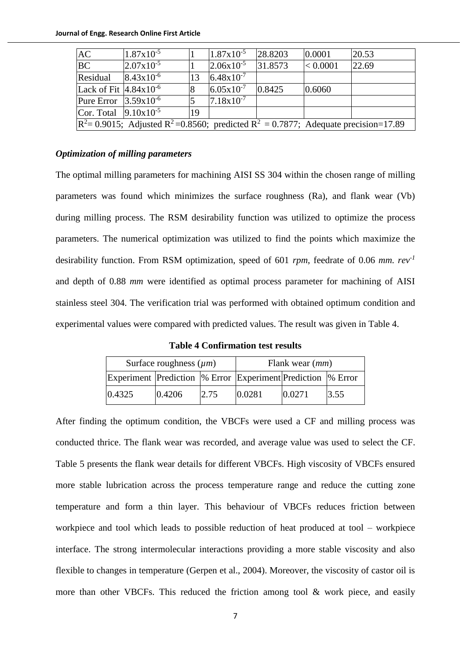| <b>AC</b>                                                                                                              | $1.87 \times 10^{-5}$ |    | $1.87 \times 10^{-5}$ | 28.8203 | 0.0001   | 20.53 |
|------------------------------------------------------------------------------------------------------------------------|-----------------------|----|-----------------------|---------|----------|-------|
| <b>BC</b>                                                                                                              | $2.07x10^{-5}$        |    | $2.06x10^{-5}$        | 31.8573 | < 0.0001 | 22.69 |
| Residual                                                                                                               | $8.43 \times 10^{-6}$ | 13 | $6.48 \times 10^{-7}$ |         |          |       |
| Lack of Fit $4.84x10^{-6}$                                                                                             |                       | 8  | $6.05 \times 10^{-7}$ | 0.8425  | 0.6060   |       |
| Pure Error $ 3.59x10^{-6} $                                                                                            |                       |    | $7.18 \times 10^{-7}$ |         |          |       |
| Cor. Total $ 9.10x10^{-5} $                                                                                            |                       | 19 |                       |         |          |       |
| $\mathbb{R}^2$ = 0.9015; Adjusted R <sup>2</sup> = 0.8560; predicted R <sup>2</sup> = 0.7877; Adequate precision=17.89 |                       |    |                       |         |          |       |

## *Optimization of milling parameters*

The optimal milling parameters for machining AISI SS 304 within the chosen range of milling parameters was found which minimizes the surface roughness (Ra), and flank wear (Vb) during milling process. The RSM desirability function was utilized to optimize the process parameters. The numerical optimization was utilized to find the points which maximize the desirability function. From RSM optimization, speed of 601 *rpm*, feedrate of 0.06 *mm. rev-1* and depth of 0.88 *mm* were identified as optimal process parameter for machining of AISI stainless steel 304. The verification trial was performed with obtained optimum condition and experimental values were compared with predicted values. The result was given in Table 4.

**Table 4 Confirmation test results**

|                                                               | Surface roughness $(\mu m)$ |       | Flank wear $(mm)$ |        |      |  |
|---------------------------------------------------------------|-----------------------------|-------|-------------------|--------|------|--|
| Experiment Prediction  % Error Experiment Prediction  % Error |                             |       |                   |        |      |  |
| 0.4325                                                        | 0.4206                      | 12.75 | 0.0281            | 0.0271 | 3.55 |  |

After finding the optimum condition, the VBCFs were used a CF and milling process was conducted thrice. The flank wear was recorded, and average value was used to select the CF. Table 5 presents the flank wear details for different VBCFs. High viscosity of VBCFs ensured more stable lubrication across the process temperature range and reduce the cutting zone temperature and form a thin layer. This behaviour of VBCFs reduces friction between workpiece and tool which leads to possible reduction of heat produced at tool – workpiece interface. The strong intermolecular interactions providing a more stable viscosity and also flexible to changes in temperature (Gerpen et al., 2004). Moreover, the viscosity of castor oil is more than other VBCFs. This reduced the friction among tool & work piece, and easily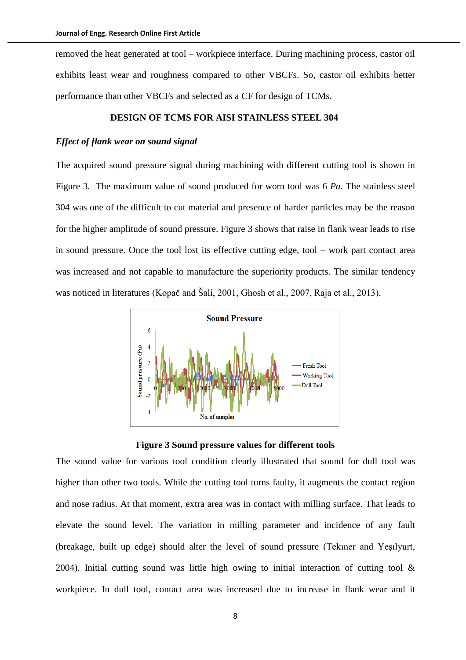removed the heat generated at tool – workpiece interface. During machining process, castor oil exhibits least wear and roughness compared to other VBCFs. So, castor oil exhibits better performance than other VBCFs and selected as a CF for design of TCMs.

# **DESIGN OF TCMS FOR AISI STAINLESS STEEL 304**

# *Effect of flank wear on sound signal*

The acquired sound pressure signal during machining with different cutting tool is shown in Figure 3. The maximum value of sound produced for worn tool was 6 *Pa*. The stainless steel 304 was one of the difficult to cut material and presence of harder particles may be the reason for the higher amplitude of sound pressure. Figure 3 shows that raise in flank wear leads to rise in sound pressure. Once the tool lost its effective cutting edge, tool – work part contact area was increased and not capable to manufacture the superiority products. The similar tendency was noticed in literatures (Kopač and Šali, 2001, Ghosh et al., 2007, Raja et al., 2013).



**Figure 3 Sound pressure values for different tools**

The sound value for various tool condition clearly illustrated that sound for dull tool was higher than other two tools. While the cutting tool turns faulty, it augments the contact region and nose radius. At that moment, extra area was in contact with milling surface. That leads to elevate the sound level. The variation in milling parameter and incidence of any fault (breakage, built up edge) should alter the level of sound pressure (Tekıner and Yeşılyurt, 2004). Initial cutting sound was little high owing to initial interaction of cutting tool  $\&$ workpiece. In dull tool, contact area was increased due to increase in flank wear and it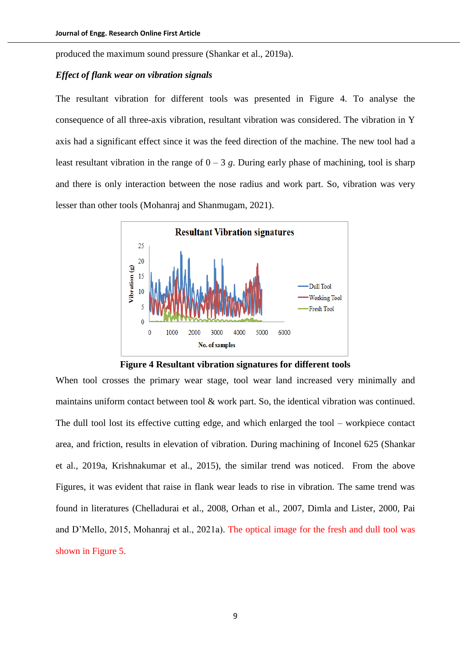produced the maximum sound pressure (Shankar et al., 2019a).

## *Effect of flank wear on vibration signals*

The resultant vibration for different tools was presented in Figure 4. To analyse the consequence of all three-axis vibration, resultant vibration was considered. The vibration in Y axis had a significant effect since it was the feed direction of the machine. The new tool had a least resultant vibration in the range of  $0 - 3$  g. During early phase of machining, tool is sharp and there is only interaction between the nose radius and work part. So, vibration was very lesser than other tools (Mohanraj and Shanmugam, 2021).



**Figure 4 Resultant vibration signatures for different tools**

When tool crosses the primary wear stage, tool wear land increased very minimally and maintains uniform contact between tool & work part. So, the identical vibration was continued. The dull tool lost its effective cutting edge, and which enlarged the tool – workpiece contact area, and friction, results in elevation of vibration. During machining of Inconel 625 (Shankar et al., 2019a, Krishnakumar et al., 2015), the similar trend was noticed. From the above Figures, it was evident that raise in flank wear leads to rise in vibration. The same trend was found in literatures (Chelladurai et al., 2008, Orhan et al., 2007, Dimla and Lister, 2000, Pai and D'Mello, 2015, Mohanraj et al., 2021a). The optical image for the fresh and dull tool was shown in Figure 5.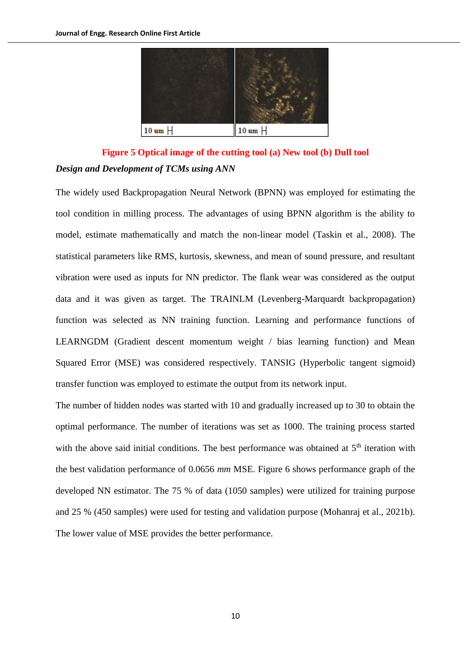

**Figure 5 Optical image of the cutting tool (a) New tool (b) Dull tool** *Design and Development of TCMs using ANN*

The widely used Backpropagation Neural Network (BPNN) was employed for estimating the tool condition in milling process. The advantages of using BPNN algorithm is the ability to model, estimate mathematically and match the non-linear model (Taskin et al., 2008). The statistical parameters like RMS, kurtosis, skewness, and mean of sound pressure, and resultant vibration were used as inputs for NN predictor. The flank wear was considered as the output data and it was given as target. The TRAINLM (Levenberg-Marquardt backpropagation) function was selected as NN training function. Learning and performance functions of LEARNGDM (Gradient descent momentum weight / bias learning function) and Mean Squared Error (MSE) was considered respectively. TANSIG (Hyperbolic tangent sigmoid) transfer function was employed to estimate the output from its network input.

The number of hidden nodes was started with 10 and gradually increased up to 30 to obtain the optimal performance. The number of iterations was set as 1000. The training process started with the above said initial conditions. The best performance was obtained at  $5<sup>th</sup>$  iteration with the best validation performance of 0.0656 *mm* MSE. Figure 6 shows performance graph of the developed NN estimator. The 75 % of data (1050 samples) were utilized for training purpose and 25 % (450 samples) were used for testing and validation purpose (Mohanraj et al., 2021b). The lower value of MSE provides the better performance.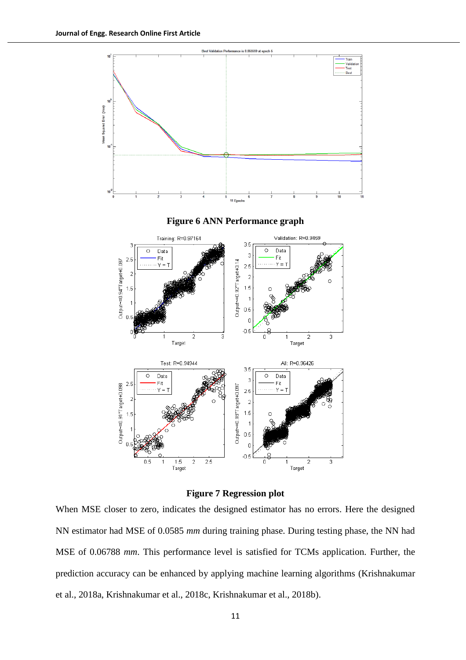

**Figure 7 Regression plot**

When MSE closer to zero, indicates the designed estimator has no errors. Here the designed NN estimator had MSE of 0.0585 *mm* during training phase. During testing phase, the NN had MSE of 0.06788 *mm*. This performance level is satisfied for TCMs application. Further, the prediction accuracy can be enhanced by applying machine learning algorithms (Krishnakumar et al., 2018a, Krishnakumar et al., 2018c, Krishnakumar et al., 2018b).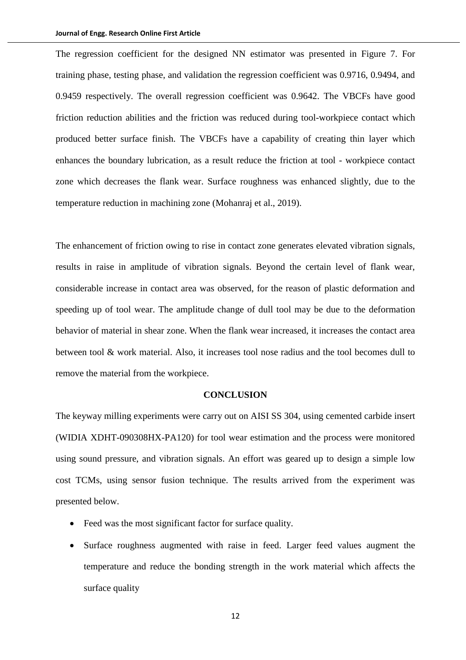The regression coefficient for the designed NN estimator was presented in Figure 7. For training phase, testing phase, and validation the regression coefficient was 0.9716, 0.9494, and 0.9459 respectively. The overall regression coefficient was 0.9642. The VBCFs have good friction reduction abilities and the friction was reduced during tool-workpiece contact which produced better surface finish. The VBCFs have a capability of creating thin layer which enhances the boundary lubrication, as a result reduce the friction at tool - workpiece contact zone which decreases the flank wear. Surface roughness was enhanced slightly, due to the temperature reduction in machining zone (Mohanraj et al., 2019).

The enhancement of friction owing to rise in contact zone generates elevated vibration signals, results in raise in amplitude of vibration signals. Beyond the certain level of flank wear, considerable increase in contact area was observed, for the reason of plastic deformation and speeding up of tool wear. The amplitude change of dull tool may be due to the deformation behavior of material in shear zone. When the flank wear increased, it increases the contact area between tool & work material. Also, it increases tool nose radius and the tool becomes dull to remove the material from the workpiece.

#### **CONCLUSION**

The keyway milling experiments were carry out on AISI SS 304, using cemented carbide insert (WIDIA XDHT-090308HX-PA120) for tool wear estimation and the process were monitored using sound pressure, and vibration signals. An effort was geared up to design a simple low cost TCMs, using sensor fusion technique. The results arrived from the experiment was presented below.

- Feed was the most significant factor for surface quality.
- Surface roughness augmented with raise in feed. Larger feed values augment the temperature and reduce the bonding strength in the work material which affects the surface quality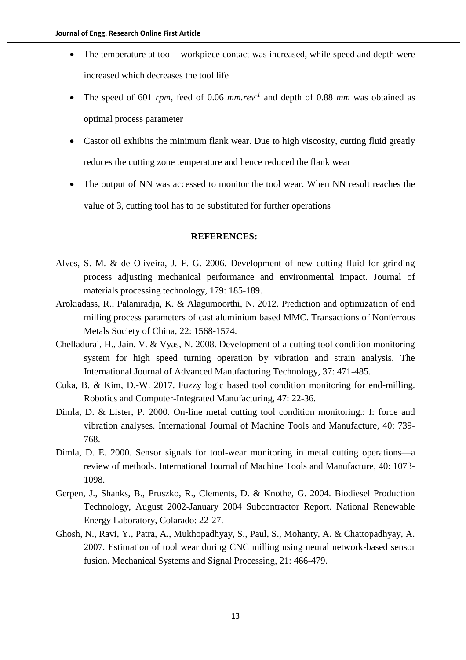- The temperature at tool workpiece contact was increased, while speed and depth were increased which decreases the tool life
- The speed of 601 *rpm*, feed of 0.06 *mm.rev-1* and depth of 0.88 *mm* was obtained as optimal process parameter
- Castor oil exhibits the minimum flank wear. Due to high viscosity, cutting fluid greatly reduces the cutting zone temperature and hence reduced the flank wear
- The output of NN was accessed to monitor the tool wear. When NN result reaches the value of 3, cutting tool has to be substituted for further operations

## **REFERENCES:**

- Alves, S. M. & de Oliveira, J. F. G. 2006. Development of new cutting fluid for grinding process adjusting mechanical performance and environmental impact. Journal of materials processing technology*,* 179: 185-189.
- Arokiadass, R., Palaniradja, K. & Alagumoorthi, N. 2012. Prediction and optimization of end milling process parameters of cast aluminium based MMC. Transactions of Nonferrous Metals Society of China*,* 22: 1568-1574.
- Chelladurai, H., Jain, V. & Vyas, N. 2008. Development of a cutting tool condition monitoring system for high speed turning operation by vibration and strain analysis. The International Journal of Advanced Manufacturing Technology*,* 37: 471-485.
- Cuka, B. & Kim, D.-W. 2017. Fuzzy logic based tool condition monitoring for end-milling. Robotics and Computer-Integrated Manufacturing*,* 47: 22-36.
- Dimla, D. & Lister, P. 2000. On-line metal cutting tool condition monitoring.: I: force and vibration analyses. International Journal of Machine Tools and Manufacture*,* 40: 739- 768.
- Dimla, D. E. 2000. Sensor signals for tool-wear monitoring in metal cutting operations—a review of methods. International Journal of Machine Tools and Manufacture*,* 40: 1073- 1098.
- Gerpen, J., Shanks, B., Pruszko, R., Clements, D. & Knothe, G. 2004. Biodiesel Production Technology, August 2002-January 2004 Subcontractor Report. National Renewable Energy Laboratory, Colarado: 22-27.
- Ghosh, N., Ravi, Y., Patra, A., Mukhopadhyay, S., Paul, S., Mohanty, A. & Chattopadhyay, A. 2007. Estimation of tool wear during CNC milling using neural network-based sensor fusion. Mechanical Systems and Signal Processing*,* 21: 466-479.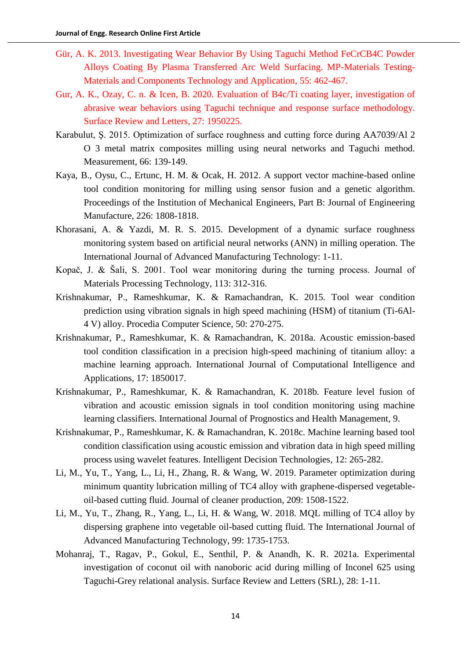- Gür, A. K. 2013. Investigating Wear Behavior By Using Taguchi Method FeCrCB4C Powder Alloys Coating By Plasma Transferred Arc Weld Surfacing. MP-Materials Testing-Materials and Components Technology and Application*,* 55: 462-467.
- Gur, A. K., Ozay, C. n. & Icen, B. 2020. Evaluation of B4c/Ti coating layer, investigation of abrasive wear behaviors using Taguchi technique and response surface methodology. Surface Review and Letters*,* 27: 1950225.
- Karabulut, Ş. 2015. Optimization of surface roughness and cutting force during AA7039/Al 2 O 3 metal matrix composites milling using neural networks and Taguchi method. Measurement*,* 66: 139-149.
- Kaya, B., Oysu, C., Ertunc, H. M. & Ocak, H. 2012. A support vector machine-based online tool condition monitoring for milling using sensor fusion and a genetic algorithm. Proceedings of the Institution of Mechanical Engineers, Part B: Journal of Engineering Manufacture*,* 226: 1808-1818.
- Khorasani, A. & Yazdi, M. R. S. 2015. Development of a dynamic surface roughness monitoring system based on artificial neural networks (ANN) in milling operation. The International Journal of Advanced Manufacturing Technology: 1-11.
- Kopač, J. & Šali, S. 2001. Tool wear monitoring during the turning process. Journal of Materials Processing Technology*,* 113: 312-316.
- Krishnakumar, P., Rameshkumar, K. & Ramachandran, K. 2015. Tool wear condition prediction using vibration signals in high speed machining (HSM) of titanium (Ti-6Al-4 V) alloy. Procedia Computer Science*,* 50: 270-275.
- Krishnakumar, P., Rameshkumar, K. & Ramachandran, K. 2018a. Acoustic emission-based tool condition classification in a precision high-speed machining of titanium alloy: a machine learning approach. International Journal of Computational Intelligence and Applications*,* 17: 1850017.
- Krishnakumar, P., Rameshkumar, K. & Ramachandran, K. 2018b. Feature level fusion of vibration and acoustic emission signals in tool condition monitoring using machine learning classifiers. International Journal of Prognostics and Health Management*,* 9.
- Krishnakumar, P., Rameshkumar, K. & Ramachandran, K. 2018c. Machine learning based tool condition classification using acoustic emission and vibration data in high speed milling process using wavelet features. Intelligent Decision Technologies*,* 12: 265-282.
- Li, M., Yu, T., Yang, L., Li, H., Zhang, R. & Wang, W. 2019. Parameter optimization during minimum quantity lubrication milling of TC4 alloy with graphene-dispersed vegetableoil-based cutting fluid. Journal of cleaner production*,* 209: 1508-1522.
- Li, M., Yu, T., Zhang, R., Yang, L., Li, H. & Wang, W. 2018. MQL milling of TC4 alloy by dispersing graphene into vegetable oil-based cutting fluid. The International Journal of Advanced Manufacturing Technology*,* 99: 1735-1753.
- Mohanraj, T., Ragav, P., Gokul, E., Senthil, P. & Anandh, K. R. 2021a. Experimental investigation of coconut oil with nanoboric acid during milling of Inconel 625 using Taguchi-Grey relational analysis. Surface Review and Letters (SRL)*,* 28: 1-11.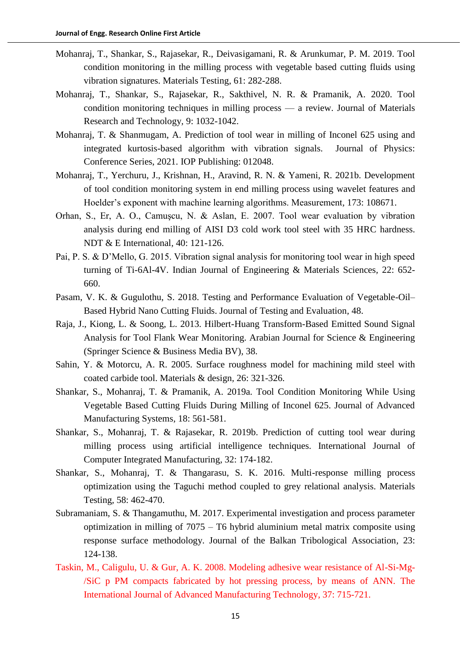- Mohanraj, T., Shankar, S., Rajasekar, R., Deivasigamani, R. & Arunkumar, P. M. 2019. Tool condition monitoring in the milling process with vegetable based cutting fluids using vibration signatures. Materials Testing*,* 61: 282-288.
- Mohanraj, T., Shankar, S., Rajasekar, R., Sakthivel, N. R. & Pramanik, A. 2020. Tool condition monitoring techniques in milling process — a review. Journal of Materials Research and Technology*,* 9: 1032-1042.
- Mohanraj, T. & Shanmugam, A. Prediction of tool wear in milling of Inconel 625 using and integrated kurtosis-based algorithm with vibration signals. Journal of Physics: Conference Series, 2021. IOP Publishing: 012048.
- Mohanraj, T., Yerchuru, J., Krishnan, H., Aravind, R. N. & Yameni, R. 2021b. Development of tool condition monitoring system in end milling process using wavelet features and Hoelder's exponent with machine learning algorithms. Measurement*,* 173: 108671.
- Orhan, S., Er, A. O., Camuşcu, N. & Aslan, E. 2007. Tool wear evaluation by vibration analysis during end milling of AISI D3 cold work tool steel with 35 HRC hardness. NDT & E International*,* 40: 121-126.
- Pai, P. S. & D'Mello, G. 2015. Vibration signal analysis for monitoring tool wear in high speed turning of Ti-6Al-4V. Indian Journal of Engineering & Materials Sciences*,* 22: 652- 660.
- Pasam, V. K. & Gugulothu, S. 2018. Testing and Performance Evaluation of Vegetable-Oil– Based Hybrid Nano Cutting Fluids. Journal of Testing and Evaluation*,* 48.
- Raja, J., Kiong, L. & Soong, L. 2013. Hilbert-Huang Transform-Based Emitted Sound Signal Analysis for Tool Flank Wear Monitoring. Arabian Journal for Science & Engineering (Springer Science & Business Media BV)*,* 38.
- Sahin, Y. & Motorcu, A. R. 2005. Surface roughness model for machining mild steel with coated carbide tool. Materials & design*,* 26: 321-326.
- Shankar, S., Mohanraj, T. & Pramanik, A. 2019a. Tool Condition Monitoring While Using Vegetable Based Cutting Fluids During Milling of Inconel 625. Journal of Advanced Manufacturing Systems*,* 18: 561-581.
- Shankar, S., Mohanraj, T. & Rajasekar, R. 2019b. Prediction of cutting tool wear during milling process using artificial intelligence techniques. International Journal of Computer Integrated Manufacturing*,* 32: 174-182.
- Shankar, S., Mohanraj, T. & Thangarasu, S. K. 2016. Multi-response milling process optimization using the Taguchi method coupled to grey relational analysis. Materials Testing*,* 58: 462-470.
- Subramaniam, S. & Thangamuthu, M. 2017. Experimental investigation and process parameter optimization in milling of 7075 – T6 hybrid aluminium metal matrix composite using response surface methodology. Journal of the Balkan Tribological Association*,* 23: 124-138.
- Taskin, M., Caligulu, U. & Gur, A. K. 2008. Modeling adhesive wear resistance of Al-Si-Mg- /SiC p PM compacts fabricated by hot pressing process, by means of ANN. The International Journal of Advanced Manufacturing Technology*,* 37: 715-721.